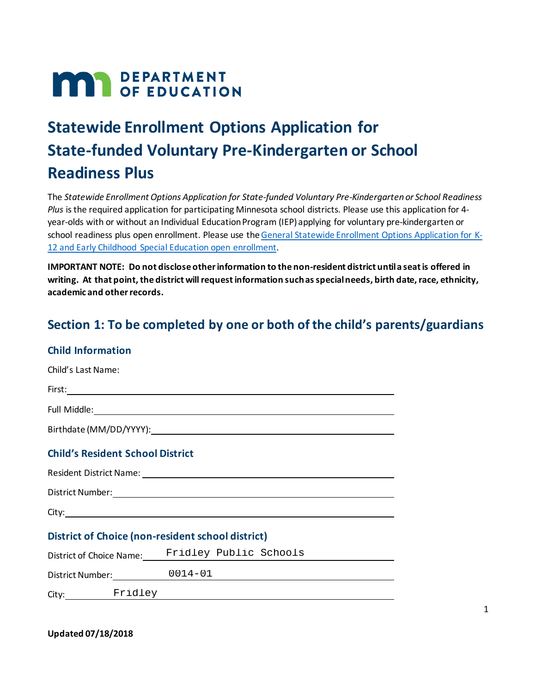## **MAR** DEPARTMENT

## **Statewide Enrollment Options Application for State-funded Voluntary Pre-Kindergarten or School Readiness Plus**

 The *Statewide Enrollment Options Application for State-funded Voluntary Pre-Kindergarten or School Readiness Plus* is the required application for participating Minnesota school districts. Please use this application for 4 year-olds with or without an Individual Education Program (IEP) applying for voluntary pre-kindergarten or school readiness plus open enrollment. Please use the General Statewide Enrollment Options Application for K-12 and Early Childhood Special Education open enrollment.

 **IMPORTANT NOTE: Do not disclose other information to the non-resident district until a seat is offered in writing. At that point, the district will request information such as special needs, birth date, race, ethnicity, academic and other records.** 

# Section 1: To be completed by one or both of the child's parents/guardians<br>Child Information

| Child's Last Name:                                                                                                                                                                                                             |                                                 |  |  |  |
|--------------------------------------------------------------------------------------------------------------------------------------------------------------------------------------------------------------------------------|-------------------------------------------------|--|--|--|
|                                                                                                                                                                                                                                |                                                 |  |  |  |
|                                                                                                                                                                                                                                |                                                 |  |  |  |
|                                                                                                                                                                                                                                |                                                 |  |  |  |
| <b>Child's Resident School District</b>                                                                                                                                                                                        |                                                 |  |  |  |
|                                                                                                                                                                                                                                |                                                 |  |  |  |
| District Number: National Communication of the Communication of the Communication of the Communication of the Communication of the Communication of the Communication of the Communication of the Communication of the Communi |                                                 |  |  |  |
|                                                                                                                                                                                                                                |                                                 |  |  |  |
| District of Choice (non-resident school district)                                                                                                                                                                              |                                                 |  |  |  |
|                                                                                                                                                                                                                                | District of Choice Name: Fridley Public Schools |  |  |  |
|                                                                                                                                                                                                                                | District Number: 0014-01                        |  |  |  |
|                                                                                                                                                                                                                                |                                                 |  |  |  |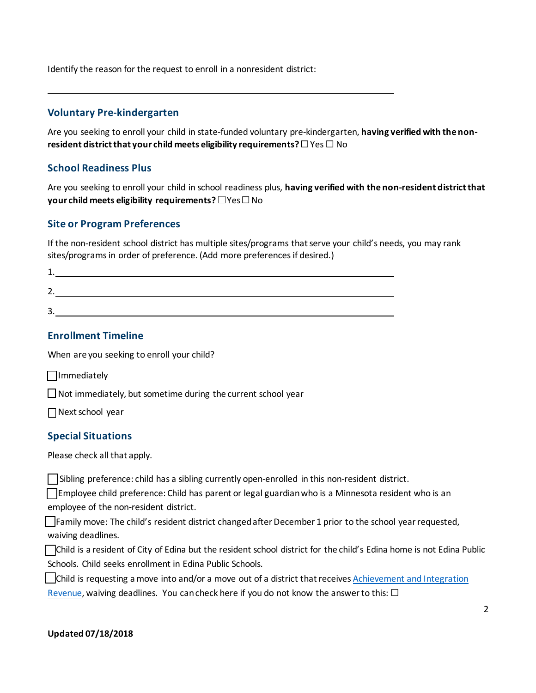Identify the reason for the request to enroll in a nonresident district:

#### **Voluntary Pre-kindergarten**

 Are you seeking to enroll your child in state-funded voluntary pre-kindergarten, **having verified with the non-resident district that your child meets eligibility requirements?** ☐Yes ☐ No

#### **School Readiness Plus**

 **your child meets eligibility requirements?** ☐Yes ☐No Are you seeking to enroll your child in school readiness plus, **having verified with the non-resident district that** 

#### **Site or Program Preferences**

 If the non-resident school district has multiple sites/programs that serve your child's needs, you may rank sites/programs in order of preference. (Add more preferences if desired.)

#### **Enrollment Timeline**

When are you seeking to enroll your child?

□ Immediately

☐ Not immediately, but sometime during the current school year

 $\Box$  Next school year

#### **Special Situations**

Please check all that apply.

□ Sibling preference: child has a sibling currently open-enrolled in this non-resident district.

□Employee child preference: Child has parent or legal guardian who is a Minnesota resident who is an employee of the non-resident district.

 $\Box$ Family move: The child's resident district changed after December 1 prior to the school year requested, waiving deadlines.

 ☐Child is a resident of City of Edina but the resident school district for the child's Edina home is not Edina Public Schools. Child seeks enrollment in Edina Public Schools.

**△Child is requesting a move into and/or a move out of a district that receives Achievement and Integration** 

Revenue, waiving deadlines. You can check here if you do not know the answer to this:  $\Box$ 

## Updated 07/18/2018 **Updated 07/18/2018** <sup>2</sup>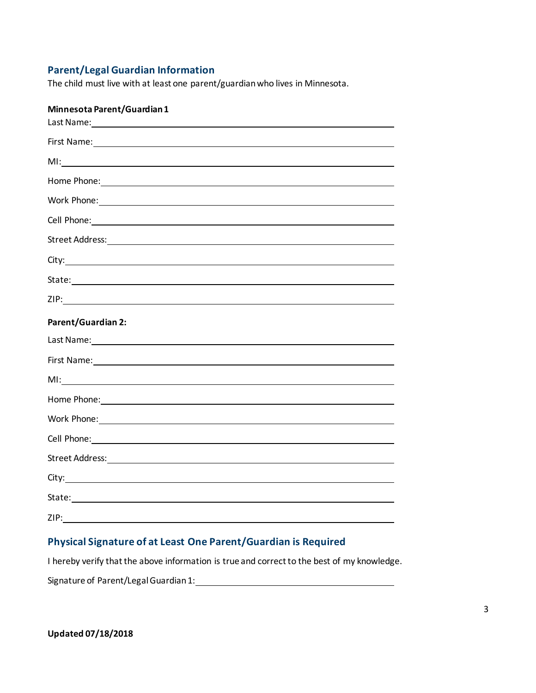#### **Parent/Legal Guardian Information**

The child must live with at least one parent/guardian who lives in Minnesota.

| Minnesota Parent/Guardian1                                                                                                                                                                                                           |
|--------------------------------------------------------------------------------------------------------------------------------------------------------------------------------------------------------------------------------------|
| First Name: 1999 Contract Contract Contract Contract Contract Contract Contract Contract Contract Contract Contract Contract Contract Contract Contract Contract Contract Contract Contract Contract Contract Contract Contrac       |
|                                                                                                                                                                                                                                      |
| Home Phone: 1999 - 1999 - 1999 - 1999 - 1999 - 1999 - 1999 - 1999 - 1999 - 1999 - 1999 - 1999 - 1999 - 1999 - 1                                                                                                                      |
| Work Phone: North Phone: North Phone: North Phone: North Phone: North Phone: North Phone: North Phone: North Phone: North Phone: North Phone: North Phone: North Phone: North Phone: North Phone: North Phone: North Phone: No       |
| Cell Phone: <u>contract the contract of the contract of the contract of the contract of the contract of the contract of the contract of the contract of the contract of the contract of the contract of the contract of the cont</u> |
|                                                                                                                                                                                                                                      |
|                                                                                                                                                                                                                                      |
|                                                                                                                                                                                                                                      |
|                                                                                                                                                                                                                                      |
| <b>Parent/Guardian 2:</b>                                                                                                                                                                                                            |
| Last Name: <u>and the contract of the contract of the contract of the contract of the contract of the contract of the contract of the contract of the contract of the contract of the contract of the contract of the contract o</u> |
|                                                                                                                                                                                                                                      |
|                                                                                                                                                                                                                                      |
|                                                                                                                                                                                                                                      |
|                                                                                                                                                                                                                                      |
|                                                                                                                                                                                                                                      |
|                                                                                                                                                                                                                                      |
|                                                                                                                                                                                                                                      |
|                                                                                                                                                                                                                                      |
| ZIP:                                                                                                                                                                                                                                 |

### **Physical Signature of at Least One Parent/Guardian is Required**

I hereby verify that the above information is true and correct to the best of my knowledge.

Signature of Parent/Legal Guardian 1: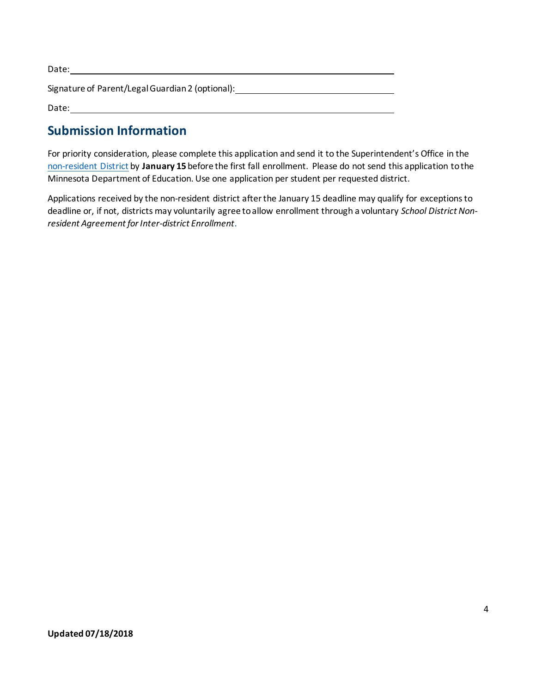| Date:                                            |
|--------------------------------------------------|
| Signature of Parent/Legal Guardian 2 (optional): |
| Date:                                            |

### **Submission Information**

 For priority consideration, please complete this application and send it to the Superintendent's Office in the non-resident District by **January 15** before the first fall enrollment. Please do not send this application to the Minnesota Department of Education. Use one application per student per requested district.

 deadline or, if not, districts may voluntarily agree to allow enrollment through a voluntary *School District Non-*Applications received by the non-resident district after the January 15 deadline may qualify for exceptions to *resident Agreement for Inter-district Enrollment*.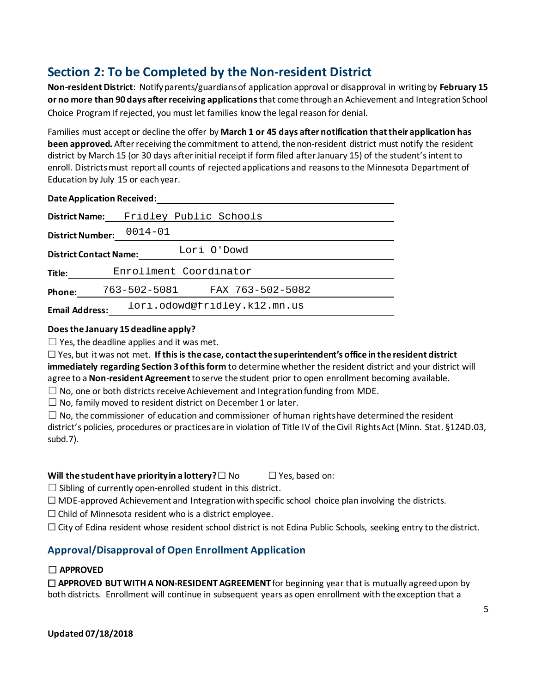## **Section 2: To be Completed by the Non-resident District**

 Choice Program If rejected, you must let families know the legal reason for denial. **Non-resident District**: Notify parents/guardians of application approval or disapproval in writing by **February 15 or no more than 90 days after receiving applications** that come through an Achievement and Integration School

 Families must accept or decline the offer by **March 1 or 45 days after notification that their application has**  district by March 15 (or 30 days after initial receipt if form filed after January 15) of the student's intent to enroll. Districts must report all counts of rejected applications and reasons to the Minnesota Department of **been approved.** After receiving the commitment to attend, the non-resident district must notify the resident Education by July 15 or each year.

#### **Date Application Received:**

| <b>District Name:</b>                        | Fridley Public Schools           |  |  |  |
|----------------------------------------------|----------------------------------|--|--|--|
| <b>District Number:</b>                      | $0014 - 01$                      |  |  |  |
| Lori O'Dowd<br><b>District Contact Name:</b> |                                  |  |  |  |
| Enrollment Coordinator<br>Title:             |                                  |  |  |  |
| Phone:                                       | FAX 763-502-5082<br>763-502-5081 |  |  |  |
| <b>Email Address:</b>                        | lori.odowd@fridley.k12.mn.us     |  |  |  |

#### **Does the January 15 deadline apply?**

 $\Box$  Yes, the deadline applies and it was met.

 ☐ Yes, but it was not met. **If this is the case, contact the superintendent's office in the resident district**  agree to a **Non-resident Agreement** to serve the student prior to open enrollment becoming available. **immediately regarding Section 3 of this form** to determine whether the resident district and your district will

 $\Box$  No, one or both districts receive Achievement and Integration funding from MDE.

 $\Box$  No, family moved to resident district on December 1 or later.

 district's policies, procedures or practices are in violation of Title IV of the Civil Rights Act (Minn. Stat. §124D.03,  $\Box$  No, the commissioner of education and commissioner of human rights have determined the resident subd.7).

#### **Will the student have priority in a lottery?**□ No □ Yes, based on:

 $\Box$  Sibling of currently open-enrolled student in this district.

 $\Box$  MDE-approved Achievement and Integration with specific school choice plan involving the districts.

 $\Box$  Child of Minnesota resident who is a district employee.

☐ City of Edina resident whose resident school district is not Edina Public Schools, seeking entry to the district.

### **Approval/Disapproval of Open Enrollment Application**

#### ☐ **APPROVED**

 ☐ **APPROVED BUT WITH A NON-RESIDENT AGREEMENT** for beginning year that is mutually agreed upon by both districts. Enrollment will continue in subsequent years as open enrollment with the exception that a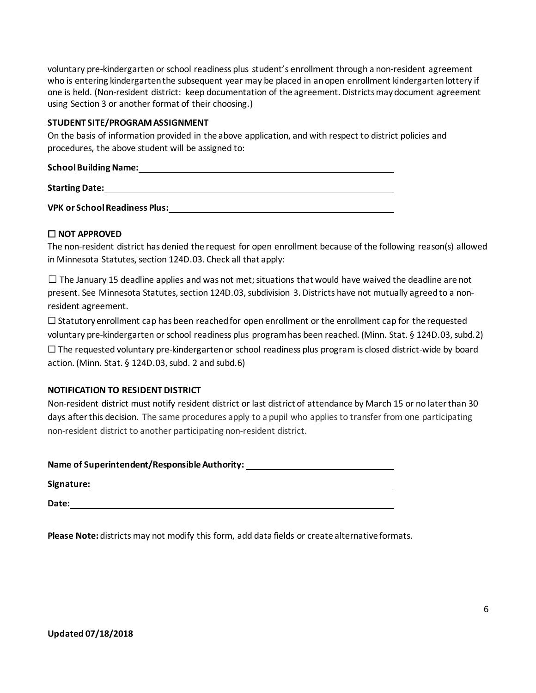who is entering kindergarten the subsequent year may be placed in an open enrollment kindergarten lottery if one is held. (Non-resident district: keep documentation of the agreement. Districts may document agreement using Section 3 or another format of their choosing.) voluntary pre-kindergarten or school readiness plus student's enrollment through a non-resident agreement

#### **STUDENT SITE/PROGRAM ASSIGNMENT**

 On the basis of information provided in the above application, and with respect to district policies and procedures, the above student will be assigned to:

| <b>School Building Name:</b>         |  |
|--------------------------------------|--|
| <b>Starting Date:</b>                |  |
| <b>VPK or School Readiness Plus:</b> |  |

#### ☐ **NOT APPROVED**

 The non-resident district has denied the request for open enrollment because of the following reason(s) allowed in Minnesota Statutes, section 124D.03. Check all that apply:

 $\Box$  The January 15 deadline applies and was not met; situations that would have waived the deadline are not present. See Minnesota Statutes, section 124D.03, subdivision 3. Districts have not mutually agreed to a nonresident agreement.

 voluntary pre-kindergarten or school readiness plus program has been reached. (Minn. Stat. § 124D.03, subd.2)  $\Box$  The requested voluntary pre-kindergarten or school readiness plus program is closed district-wide by board  $\Box$  Statutory enrollment cap has been reached for open enrollment or the enrollment cap for the requested

action. (Minn. Stat. § 124D.03, subd. 2 and subd.6)

#### **NOTIFICATION TO RESIDENT DISTRICT**

 Non-resident district must notify resident district or last district of attendance by March 15 or no later than 30 days after this decision. The same procedures apply to a pupil who applies to transfer from one participating non-resident district to another participating non-resident district.

| Name of Superintendent/Responsible Authority: |  |
|-----------------------------------------------|--|
|                                               |  |

**Name of Superintendent/Responsible Authority: Signature:**  $\mathbf{R} = \mathbf{R} \cdot \mathbf{R}$ 

**Date:** 

**Please Note:** districts may not modify this form, add data fields or create alternative formats.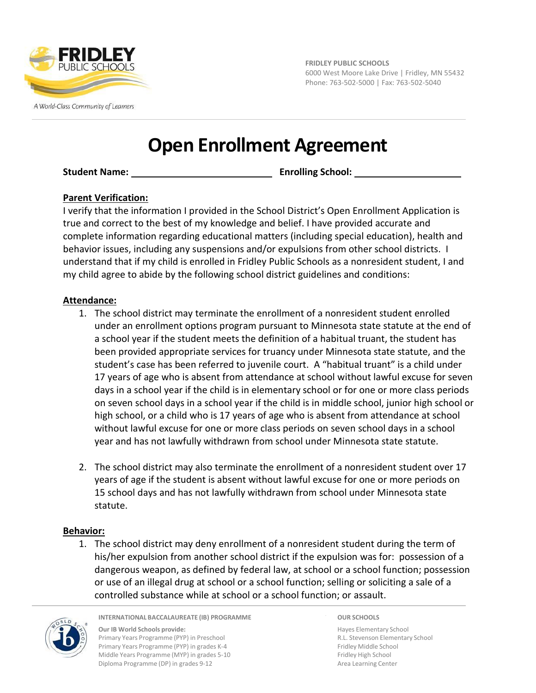

A World-Class Community of Learners

**FRIDLEY PUBLIC SCHOOLS** 6000 West Moore Lake Drive | Fridley, MN 55432 Phone: 763‐502‐5000 | Fax: 763‐502‐5040

## **Open Enrollment Agreement**

**Student Name: Enrolling School:** 

#### **Parent Verification:**

I verify that the information I provided in the School District's Open Enrollment Application is true and correct to the best of my knowledge and belief. I have provided accurate and complete information regarding educational matters (including special education), health and behavior issues, including any suspensions and/or expulsions from other school districts. I understand that if my child is enrolled in Fridley Public Schools as a nonresident student, I and my child agree to abide by the following school district guidelines and conditions:

#### **Attendance:**

- 1. The school district may terminate the enrollment of a nonresident student enrolled under an enrollment options program pursuant to Minnesota state statute at the end of a school year if the student meets the definition of a habitual truant, the student has been provided appropriate services for truancy under Minnesota state statute, and the student's case has been referred to juvenile court. A "habitual truant" is a child under 17 years of age who is absent from attendance at school without lawful excuse for seven days in a school year if the child is in elementary school or for one or more class periods on seven school days in a school year if the child is in middle school, junior high school or high school, or a child who is 17 years of age who is absent from attendance at school without lawful excuse for one or more class periods on seven school days in a school year and has not lawfully withdrawn from school under Minnesota state statute.
- 2. The school district may also terminate the enrollment of a nonresident student over 17 years of age if the student is absent without lawful excuse for one or more periods on 15 school days and has not lawfully withdrawn from school under Minnesota state statute.

#### **Behavior:**

1. The school district may deny enrollment of a nonresident student during the term of his/her expulsion from another school district if the expulsion was for: possession of a dangerous weapon, as defined by federal law, at school or a school function; possession or use of an illegal drug at school or a school function; selling or soliciting a sale of a controlled substance while at school or a school function; or assault.



**INTERNATIONAL BACCALAUREATE (IB) PROGRAMME**

**Our IB World Schools provide:** Primary Years Programme (PYP) in Preschool Primary Years Programme (PYP) in grades K‐4 Middle Years Programme (MYP) in grades 5‐10 Diploma Programme (DP) in grades 9‐12

**OUR SCHOOLS**

Hayes Elementary School R.L. Stevenson Elementary School Fridley Middle School Fridley High School Area Learning Center